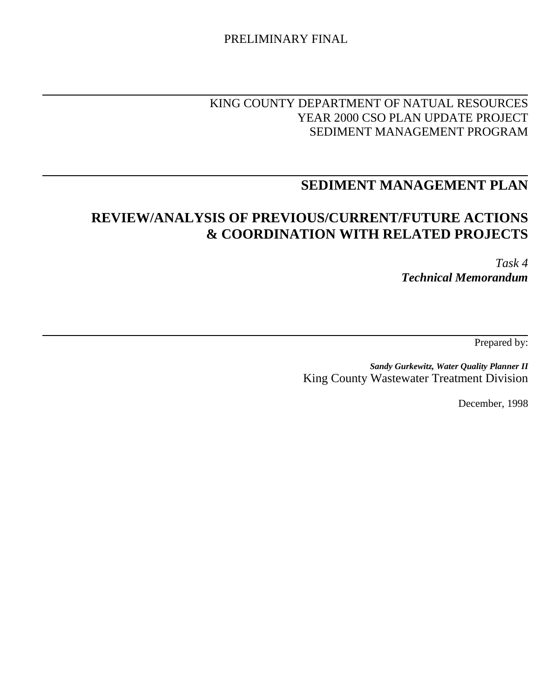#### PRELIMINARY FINAL

### KING COUNTY DEPARTMENT OF NATUAL RESOURCES YEAR 2000 CSO PLAN UPDATE PROJECT SEDIMENT MANAGEMENT PROGRAM

## **SEDIMENT MANAGEMENT PLAN**

## **REVIEW/ANALYSIS OF PREVIOUS/CURRENT/FUTURE ACTIONS & COORDINATION WITH RELATED PROJECTS**

*Task 4 Technical Memorandum*

Prepared by:

*Sandy Gurkewitz, Water Quality Planner II* King County Wastewater Treatment Division

December, 1998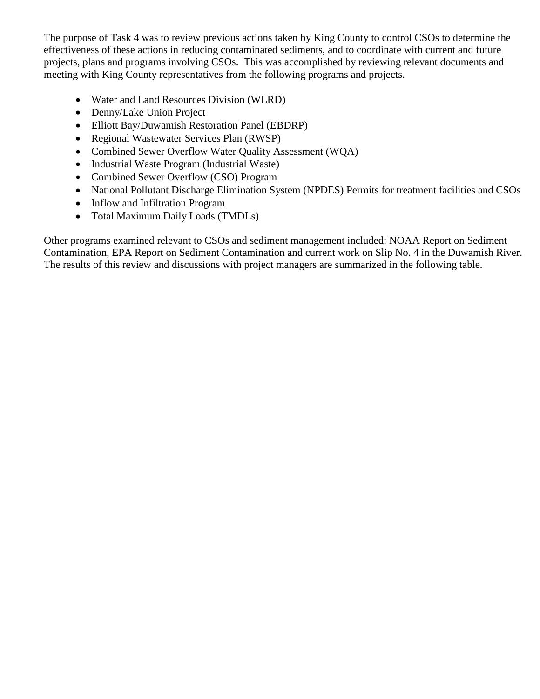The purpose of Task 4 was to review previous actions taken by King County to control CSOs to determine the effectiveness of these actions in reducing contaminated sediments, and to coordinate with current and future projects, plans and programs involving CSOs. This was accomplished by reviewing relevant documents and meeting with King County representatives from the following programs and projects.

- Water and Land Resources Division (WLRD)
- Denny/Lake Union Project
- Elliott Bay/Duwamish Restoration Panel (EBDRP)
- Regional Wastewater Services Plan (RWSP)
- Combined Sewer Overflow Water Quality Assessment (WOA)
- Industrial Waste Program (Industrial Waste)
- Combined Sewer Overflow (CSO) Program
- National Pollutant Discharge Elimination System (NPDES) Permits for treatment facilities and CSOs
- Inflow and Infiltration Program
- Total Maximum Daily Loads (TMDLs)

Other programs examined relevant to CSOs and sediment management included: NOAA Report on Sediment Contamination, EPA Report on Sediment Contamination and current work on Slip No. 4 in the Duwamish River. The results of this review and discussions with project managers are summarized in the following table.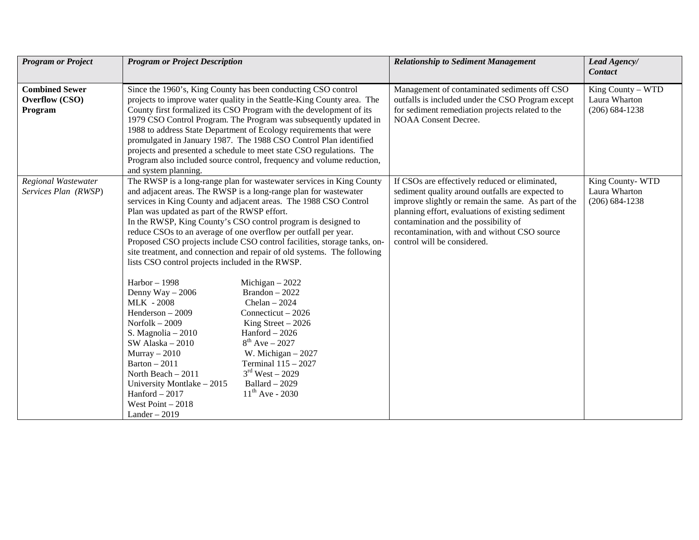| <b>Program or Project</b>                          | <b>Program or Project Description</b>                                                                                                                                                                                                                                                                                                                                                                                                                                                                                                                                                                                                                                                                                                                                                                                                                                                                                                                                                                                                                                                                                                                                       | <b>Relationship to Sediment Management</b>                                                                                                                                                                                                                                                                                            | Lead Agency/<br><b>Contact</b>                           |
|----------------------------------------------------|-----------------------------------------------------------------------------------------------------------------------------------------------------------------------------------------------------------------------------------------------------------------------------------------------------------------------------------------------------------------------------------------------------------------------------------------------------------------------------------------------------------------------------------------------------------------------------------------------------------------------------------------------------------------------------------------------------------------------------------------------------------------------------------------------------------------------------------------------------------------------------------------------------------------------------------------------------------------------------------------------------------------------------------------------------------------------------------------------------------------------------------------------------------------------------|---------------------------------------------------------------------------------------------------------------------------------------------------------------------------------------------------------------------------------------------------------------------------------------------------------------------------------------|----------------------------------------------------------|
|                                                    |                                                                                                                                                                                                                                                                                                                                                                                                                                                                                                                                                                                                                                                                                                                                                                                                                                                                                                                                                                                                                                                                                                                                                                             |                                                                                                                                                                                                                                                                                                                                       |                                                          |
| <b>Combined Sewer</b><br>Overflow (CSO)<br>Program | Since the 1960's, King County has been conducting CSO control<br>projects to improve water quality in the Seattle-King County area. The<br>County first formalized its CSO Program with the development of its<br>1979 CSO Control Program. The Program was subsequently updated in<br>1988 to address State Department of Ecology requirements that were<br>promulgated in January 1987. The 1988 CSO Control Plan identified<br>projects and presented a schedule to meet state CSO regulations. The<br>Program also included source control, frequency and volume reduction,<br>and system planning.                                                                                                                                                                                                                                                                                                                                                                                                                                                                                                                                                                     | Management of contaminated sediments off CSO<br>outfalls is included under the CSO Program except<br>for sediment remediation projects related to the<br><b>NOAA Consent Decree.</b>                                                                                                                                                  | King County - WTD<br>Laura Wharton<br>$(206) 684 - 1238$ |
| Regional Wastewater<br>Services Plan (RWSP)        | The RWSP is a long-range plan for wastewater services in King County<br>and adjacent areas. The RWSP is a long-range plan for wastewater<br>services in King County and adjacent areas. The 1988 CSO Control<br>Plan was updated as part of the RWSP effort.<br>In the RWSP, King County's CSO control program is designed to<br>reduce CSOs to an average of one overflow per outfall per year.<br>Proposed CSO projects include CSO control facilities, storage tanks, on-<br>site treatment, and connection and repair of old systems. The following<br>lists CSO control projects included in the RWSP.<br>$Harbor - 1998$<br>Michigan $-2022$<br>$Brandon - 2022$<br>Denny Way $-2006$<br><b>MLK - 2008</b><br>Chelan $-2024$<br>Henderson $-2009$<br>Connecticut $-2026$<br>Norfolk $-2009$<br>King Street $-2026$<br>$Hand-2026$<br>S. Magnolia $-2010$<br>$8^{th}$ Ave – 2027<br>$SW$ Alaska $-2010$<br>$Murray - 2010$<br>W. Michigan $-2027$<br>Barton $-2011$<br>Terminal 115 - 2027<br>$3rd$ West – 2029<br>North Beach - 2011<br>University Montlake - 2015<br>Ballard $-2029$<br>$11^{th}$ Ave - 2030<br>$Hand-2017$<br>West Point $-2018$<br>$Lander - 2019$ | If CSOs are effectively reduced or eliminated,<br>sediment quality around outfalls are expected to<br>improve slightly or remain the same. As part of the<br>planning effort, evaluations of existing sediment<br>contamination and the possibility of<br>recontamination, with and without CSO source<br>control will be considered. | King County-WTD<br>Laura Wharton<br>$(206) 684 - 1238$   |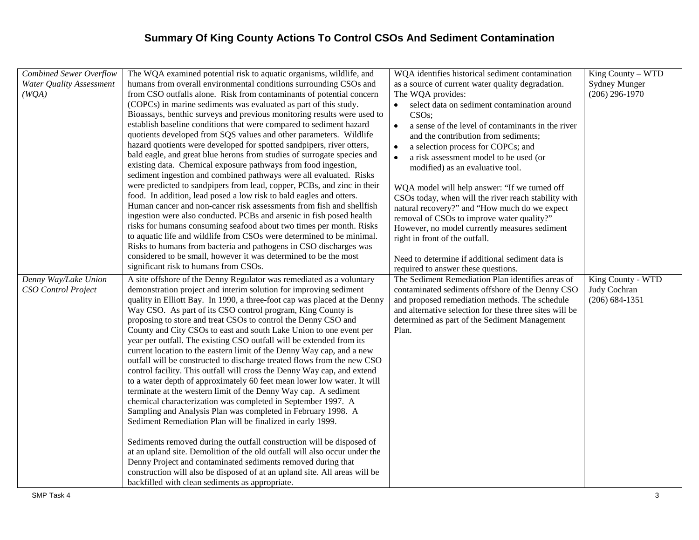| <b>Combined Sewer Overflow</b> | The WQA examined potential risk to aquatic organisms, wildlife, and                                                                                 | WQA identifies historical sediment contamination               | King County - WTD    |
|--------------------------------|-----------------------------------------------------------------------------------------------------------------------------------------------------|----------------------------------------------------------------|----------------------|
| Water Quality Assessment       | humans from overall environmental conditions surrounding CSOs and                                                                                   | as a source of current water quality degradation.              | <b>Sydney Munger</b> |
| (WQA)                          | from CSO outfalls alone. Risk from contaminants of potential concern                                                                                | The WQA provides:                                              | $(206)$ 296-1970     |
|                                | (COPCs) in marine sediments was evaluated as part of this study.                                                                                    | select data on sediment contamination around                   |                      |
|                                | Bioassays, benthic surveys and previous monitoring results were used to                                                                             | CSO <sub>s</sub> ;                                             |                      |
|                                | establish baseline conditions that were compared to sediment hazard                                                                                 | a sense of the level of contaminants in the river<br>$\bullet$ |                      |
|                                | quotients developed from SQS values and other parameters. Wildlife                                                                                  | and the contribution from sediments;                           |                      |
|                                | hazard quotients were developed for spotted sandpipers, river otters,                                                                               | a selection process for COPCs; and<br>٠                        |                      |
|                                | bald eagle, and great blue herons from studies of surrogate species and                                                                             | a risk assessment model to be used (or<br>٠                    |                      |
|                                | existing data. Chemical exposure pathways from food ingestion,                                                                                      | modified) as an evaluative tool.                               |                      |
|                                | sediment ingestion and combined pathways were all evaluated. Risks                                                                                  |                                                                |                      |
|                                | were predicted to sandpipers from lead, copper, PCBs, and zinc in their                                                                             | WQA model will help answer: "If we turned off                  |                      |
|                                | food. In addition, lead posed a low risk to bald eagles and otters.                                                                                 | CSOs today, when will the river reach stability with           |                      |
|                                | Human cancer and non-cancer risk assessments from fish and shellfish                                                                                | natural recovery?" and "How much do we expect                  |                      |
|                                | ingestion were also conducted. PCBs and arsenic in fish posed health                                                                                | removal of CSOs to improve water quality?"                     |                      |
|                                | risks for humans consuming seafood about two times per month. Risks                                                                                 | However, no model currently measures sediment                  |                      |
|                                | to aquatic life and wildlife from CSOs were determined to be minimal.                                                                               | right in front of the outfall.                                 |                      |
|                                | Risks to humans from bacteria and pathogens in CSO discharges was                                                                                   |                                                                |                      |
|                                | considered to be small, however it was determined to be the most                                                                                    | Need to determine if additional sediment data is               |                      |
|                                | significant risk to humans from CSOs.                                                                                                               | required to answer these questions.                            |                      |
| Denny Way/Lake Union           | A site offshore of the Denny Regulator was remediated as a voluntary                                                                                | The Sediment Remediation Plan identifies areas of              | King County - WTD    |
| <b>CSO</b> Control Project     | demonstration project and interim solution for improving sediment                                                                                   | contaminated sediments offshore of the Denny CSO               | Judy Cochran         |
|                                | quality in Elliott Bay. In 1990, a three-foot cap was placed at the Denny                                                                           | and proposed remediation methods. The schedule                 | $(206) 684 - 1351$   |
|                                | Way CSO. As part of its CSO control program, King County is                                                                                         | and alternative selection for these three sites will be        |                      |
|                                | proposing to store and treat CSOs to control the Denny CSO and                                                                                      | determined as part of the Sediment Management                  |                      |
|                                | County and City CSOs to east and south Lake Union to one event per                                                                                  | Plan.                                                          |                      |
|                                | year per outfall. The existing CSO outfall will be extended from its                                                                                |                                                                |                      |
|                                | current location to the eastern limit of the Denny Way cap, and a new                                                                               |                                                                |                      |
|                                | outfall will be constructed to discharge treated flows from the new CSO                                                                             |                                                                |                      |
|                                | control facility. This outfall will cross the Denny Way cap, and extend                                                                             |                                                                |                      |
|                                | to a water depth of approximately 60 feet mean lower low water. It will                                                                             |                                                                |                      |
|                                | terminate at the western limit of the Denny Way cap. A sediment                                                                                     |                                                                |                      |
|                                | chemical characterization was completed in September 1997. A                                                                                        |                                                                |                      |
|                                | Sampling and Analysis Plan was completed in February 1998. A                                                                                        |                                                                |                      |
|                                | Sediment Remediation Plan will be finalized in early 1999.                                                                                          |                                                                |                      |
|                                |                                                                                                                                                     |                                                                |                      |
|                                | Sediments removed during the outfall construction will be disposed of<br>at an upland site. Demolition of the old outfall will also occur under the |                                                                |                      |
|                                | Denny Project and contaminated sediments removed during that                                                                                        |                                                                |                      |
|                                | construction will also be disposed of at an upland site. All areas will be                                                                          |                                                                |                      |
|                                |                                                                                                                                                     |                                                                |                      |
|                                | backfilled with clean sediments as appropriate.                                                                                                     |                                                                |                      |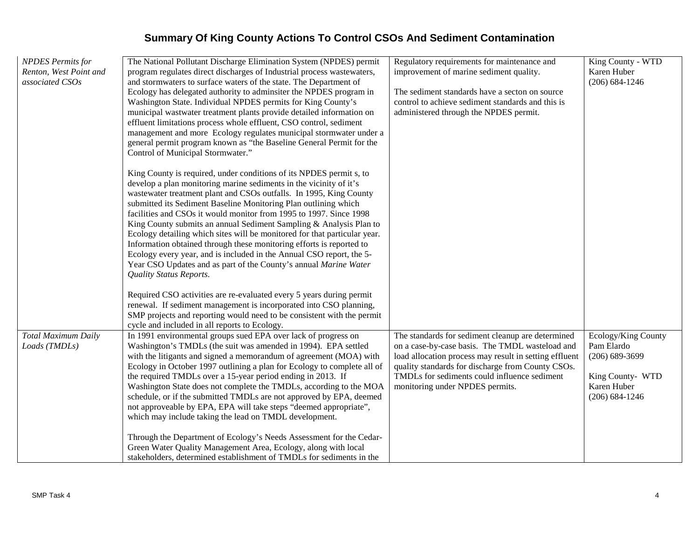| <b>NPDES</b> Permits for | The National Pollutant Discharge Elimination System (NPDES) permit        | Regulatory requirements for maintenance and            | King County - WTD   |
|--------------------------|---------------------------------------------------------------------------|--------------------------------------------------------|---------------------|
| Renton, West Point and   | program regulates direct discharges of Industrial process wastewaters,    | improvement of marine sediment quality.                | Karen Huber         |
| associated CSOs          | and stormwaters to surface waters of the state. The Department of         |                                                        | $(206) 684 - 1246$  |
|                          | Ecology has delegated authority to adminsiter the NPDES program in        | The sediment standards have a secton on source         |                     |
|                          | Washington State. Individual NPDES permits for King County's              | control to achieve sediment standards and this is      |                     |
|                          | municipal wastwater treatment plants provide detailed information on      | administered through the NPDES permit.                 |                     |
|                          | effluent limitations process whole effluent, CSO control, sediment        |                                                        |                     |
|                          | management and more Ecology regulates municipal stormwater under a        |                                                        |                     |
|                          | general permit program known as "the Baseline General Permit for the      |                                                        |                     |
|                          | Control of Municipal Stormwater."                                         |                                                        |                     |
|                          | King County is required, under conditions of its NPDES permit s, to       |                                                        |                     |
|                          | develop a plan monitoring marine sediments in the vicinity of it's        |                                                        |                     |
|                          | wastewater treatment plant and CSOs outfalls. In 1995, King County        |                                                        |                     |
|                          | submitted its Sediment Baseline Monitoring Plan outlining which           |                                                        |                     |
|                          | facilities and CSOs it would monitor from 1995 to 1997. Since 1998        |                                                        |                     |
|                          | King County submits an annual Sediment Sampling & Analysis Plan to        |                                                        |                     |
|                          | Ecology detailing which sites will be monitored for that particular year. |                                                        |                     |
|                          | Information obtained through these monitoring efforts is reported to      |                                                        |                     |
|                          | Ecology every year, and is included in the Annual CSO report, the 5-      |                                                        |                     |
|                          | Year CSO Updates and as part of the County's annual Marine Water          |                                                        |                     |
|                          | <b>Quality Status Reports.</b>                                            |                                                        |                     |
|                          | Required CSO activities are re-evaluated every 5 years during permit      |                                                        |                     |
|                          | renewal. If sediment management is incorporated into CSO planning,        |                                                        |                     |
|                          | SMP projects and reporting would need to be consistent with the permit    |                                                        |                     |
|                          | cycle and included in all reports to Ecology.                             |                                                        |                     |
| Total Maximum Daily      | In 1991 environmental groups sued EPA over lack of progress on            | The standards for sediment cleanup are determined      | Ecology/King County |
| Loads (TMDLs)            | Washington's TMDLs (the suit was amended in 1994). EPA settled            | on a case-by-case basis. The TMDL wasteload and        | Pam Elardo          |
|                          | with the litigants and signed a memorandum of agreement (MOA) with        | load allocation process may result in setting effluent | $(206) 689 - 3699$  |
|                          | Ecology in October 1997 outlining a plan for Ecology to complete all of   | quality standards for discharge from County CSOs.      |                     |
|                          | the required TMDLs over a 15-year period ending in 2013. If               | TMDLs for sediments could influence sediment           | King County- WTD    |
|                          | Washington State does not complete the TMDLs, according to the MOA        | monitoring under NPDES permits.                        | Karen Huber         |
|                          | schedule, or if the submitted TMDLs are not approved by EPA, deemed       |                                                        | $(206) 684 - 1246$  |
|                          | not approveable by EPA, EPA will take steps "deemed appropriate",         |                                                        |                     |
|                          | which may include taking the lead on TMDL development.                    |                                                        |                     |
|                          | Through the Department of Ecology's Needs Assessment for the Cedar-       |                                                        |                     |
|                          | Green Water Quality Management Area, Ecology, along with local            |                                                        |                     |
|                          | stakeholders, determined establishment of TMDLs for sediments in the      |                                                        |                     |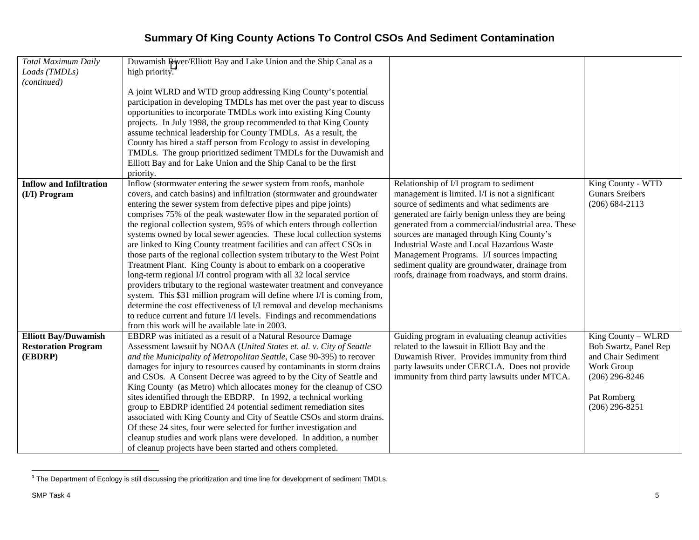| <b>Total Maximum Daily</b>     | Duwamish River/Elliott Bay and Lake Union and the Ship Canal as a         |                                                    |                        |
|--------------------------------|---------------------------------------------------------------------------|----------------------------------------------------|------------------------|
| Loads (TMDLs)                  | high priority. $1$                                                        |                                                    |                        |
| (continued)                    |                                                                           |                                                    |                        |
|                                | A joint WLRD and WTD group addressing King County's potential             |                                                    |                        |
|                                | participation in developing TMDLs has met over the past year to discuss   |                                                    |                        |
|                                | opportunities to incorporate TMDLs work into existing King County         |                                                    |                        |
|                                | projects. In July 1998, the group recommended to that King County         |                                                    |                        |
|                                | assume technical leadership for County TMDLs. As a result, the            |                                                    |                        |
|                                | County has hired a staff person from Ecology to assist in developing      |                                                    |                        |
|                                | TMDLs. The group prioritized sediment TMDLs for the Duwamish and          |                                                    |                        |
|                                | Elliott Bay and for Lake Union and the Ship Canal to be the first         |                                                    |                        |
|                                | priority.                                                                 |                                                    |                        |
| <b>Inflow and Infiltration</b> | Inflow (stormwater entering the sewer system from roofs, manhole          | Relationship of I/I program to sediment            | King County - WTD      |
| (I/I) Program                  | covers, and catch basins) and infiltration (stormwater and groundwater    | management is limited. I/I is not a significant    | <b>Gunars Sreibers</b> |
|                                | entering the sewer system from defective pipes and pipe joints)           | source of sediments and what sediments are         | $(206) 684 - 2113$     |
|                                | comprises 75% of the peak wastewater flow in the separated portion of     | generated are fairly benign unless they are being  |                        |
|                                | the regional collection system, 95% of which enters through collection    | generated from a commercial/industrial area. These |                        |
|                                | systems owned by local sewer agencies. These local collection systems     | sources are managed through King County's          |                        |
|                                | are linked to King County treatment facilities and can affect CSOs in     | Industrial Waste and Local Hazardous Waste         |                        |
|                                | those parts of the regional collection system tributary to the West Point | Management Programs. I/I sources impacting         |                        |
|                                | Treatment Plant. King County is about to embark on a cooperative          | sediment quality are groundwater, drainage from    |                        |
|                                | long-term regional I/I control program with all 32 local service          | roofs, drainage from roadways, and storm drains.   |                        |
|                                | providers tributary to the regional wastewater treatment and conveyance   |                                                    |                        |
|                                | system. This \$31 million program will define where I/I is coming from,   |                                                    |                        |
|                                | determine the cost effectiveness of I/I removal and develop mechanisms    |                                                    |                        |
|                                | to reduce current and future I/I levels. Findings and recommendations     |                                                    |                        |
|                                | from this work will be available late in 2003.                            |                                                    |                        |
| <b>Elliott Bay/Duwamish</b>    | EBDRP was initiated as a result of a Natural Resource Damage              | Guiding program in evaluating cleanup activities   | King County - WLRD     |
| <b>Restoration Program</b>     | Assessment lawsuit by NOAA (United States et. al. v. City of Seattle      | related to the lawsuit in Elliott Bay and the      | Bob Swartz, Panel Rep  |
| (EBDRP)                        | and the Municipality of Metropolitan Seattle, Case 90-395) to recover     | Duwamish River. Provides immunity from third       | and Chair Sediment     |
|                                | damages for injury to resources caused by contaminants in storm drains    | party lawsuits under CERCLA. Does not provide      | Work Group             |
|                                | and CSOs. A Consent Decree was agreed to by the City of Seattle and       | immunity from third party lawsuits under MTCA.     | $(206)$ 296-8246       |
|                                | King County (as Metro) which allocates money for the cleanup of CSO       |                                                    |                        |
|                                | sites identified through the EBDRP. In 1992, a technical working          |                                                    | Pat Romberg            |
|                                | group to EBDRP identified 24 potential sediment remediation sites         |                                                    | $(206)$ 296-8251       |
|                                | associated with King County and City of Seattle CSOs and storm drains.    |                                                    |                        |
|                                | Of these 24 sites, four were selected for further investigation and       |                                                    |                        |
|                                | cleanup studies and work plans were developed. In addition, a number      |                                                    |                        |
|                                | of cleanup projects have been started and others completed.               |                                                    |                        |

**<sup>1</sup>** The Department of Ecology is still discussing the prioritization and time line for development of sediment TMDLs.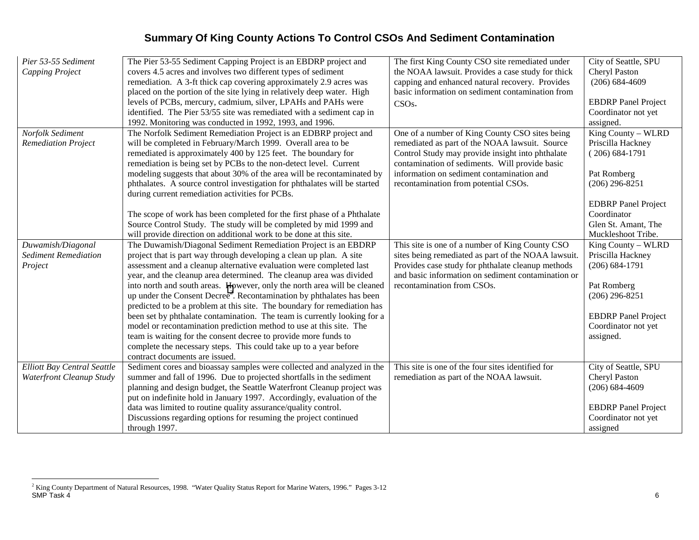| Pier 53-55 Sediment         | The Pier 53-55 Sediment Capping Project is an EBDRP project and                   | The first King County CSO site remediated under     | City of Seattle, SPU       |
|-----------------------------|-----------------------------------------------------------------------------------|-----------------------------------------------------|----------------------------|
| <b>Capping Project</b>      | covers 4.5 acres and involves two different types of sediment                     | the NOAA lawsuit. Provides a case study for thick   | Cheryl Paston              |
|                             | remediation. A 3-ft thick cap covering approximately 2.9 acres was                | capping and enhanced natural recovery. Provides     | $(206) 684 - 4609$         |
|                             | placed on the portion of the site lying in relatively deep water. High            | basic information on sediment contamination from    |                            |
|                             | levels of PCBs, mercury, cadmium, silver, LPAHs and PAHs were                     | CSO <sub>s</sub> .                                  | <b>EBDRP</b> Panel Project |
|                             | identified. The Pier 53/55 site was remediated with a sediment cap in             |                                                     | Coordinator not yet        |
|                             | 1992. Monitoring was conducted in 1992, 1993, and 1996.                           |                                                     | assigned.                  |
| Norfolk Sediment            | The Norfolk Sediment Remediation Project is an EDBRP project and                  | One of a number of King County CSO sites being      | King County - WLRD         |
| <b>Remediation Project</b>  | will be completed in February/March 1999. Overall area to be                      | remediated as part of the NOAA lawsuit. Source      | Priscilla Hackney          |
|                             | remediated is approximately 400 by 125 feet. The boundary for                     | Control Study may provide insight into phthalate    | $(206) 684-1791$           |
|                             | remediation is being set by PCBs to the non-detect level. Current                 | contamination of sediments. Will provide basic      |                            |
|                             | modeling suggests that about 30% of the area will be recontaminated by            | information on sediment contamination and           | Pat Romberg                |
|                             | phthalates. A source control investigation for phthalates will be started         | recontamination from potential CSOs.                | $(206)$ 296-8251           |
|                             | during current remediation activities for PCBs.                                   |                                                     |                            |
|                             |                                                                                   |                                                     | <b>EDBRP</b> Panel Project |
|                             | The scope of work has been completed for the first phase of a Phthalate           |                                                     | Coordinator                |
|                             | Source Control Study. The study will be completed by mid 1999 and                 |                                                     | Glen St. Amant, The        |
|                             | will provide direction on additional work to be done at this site.                |                                                     | Muckleshoot Tribe.         |
| Duwamish/Diagonal           | The Duwamish/Diagonal Sediment Remediation Project is an EBDRP                    | This site is one of a number of King County CSO     | King County - WLRD         |
| <b>Sediment Remediation</b> | project that is part way through developing a clean up plan. A site               | sites being remediated as part of the NOAA lawsuit. | Priscilla Hackney          |
| Project                     | assessment and a cleanup alternative evaluation were completed last               | Provides case study for phthalate cleanup methods   | $(206) 684 - 1791$         |
|                             | year, and the cleanup area determined. The cleanup area was divided               | and basic information on sediment contamination or  |                            |
|                             | into north and south areas. However, only the north area will be cleaned          | recontamination from CSOs.                          | Pat Romberg                |
|                             | up under the Consent Decree <sup>2</sup> . Recontamination by phthalates has been |                                                     | $(206)$ 296-8251           |
|                             | predicted to be a problem at this site. The boundary for remediation has          |                                                     |                            |
|                             | been set by phthalate contamination. The team is currently looking for a          |                                                     | <b>EBDRP</b> Panel Project |
|                             | model or recontamination prediction method to use at this site. The               |                                                     | Coordinator not yet        |
|                             | team is waiting for the consent decree to provide more funds to                   |                                                     | assigned.                  |
|                             | complete the necessary steps. This could take up to a year before                 |                                                     |                            |
|                             | contract documents are issued.                                                    |                                                     |                            |
| Elliott Bay Central Seattle | Sediment cores and bioassay samples were collected and analyzed in the            | This site is one of the four sites identified for   | City of Seattle, SPU       |
| Waterfront Cleanup Study    | summer and fall of 1996. Due to projected shortfalls in the sediment              | remediation as part of the NOAA lawsuit.            | Cheryl Paston              |
|                             | planning and design budget, the Seattle Waterfront Cleanup project was            |                                                     | $(206) 684 - 4609$         |
|                             | put on indefinite hold in January 1997. Accordingly, evaluation of the            |                                                     |                            |
|                             | data was limited to routine quality assurance/quality control.                    |                                                     | <b>EBDRP</b> Panel Project |
|                             | Discussions regarding options for resuming the project continued                  |                                                     | Coordinator not yet        |
|                             | through 1997.                                                                     |                                                     | assigned                   |

<sup>&</sup>lt;sup>2</sup> King County Department of Natural Resources, 1998. "Water Quality Status Report for Marine Waters, 1996." Pages 3-12<br>SMP Task 4